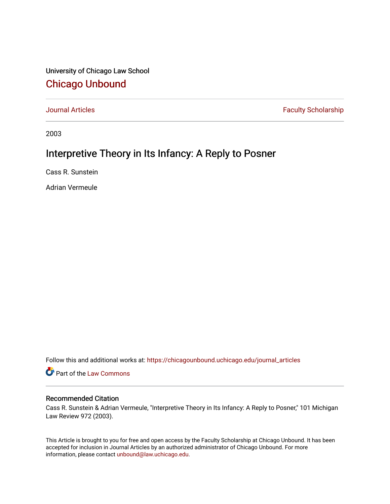University of Chicago Law School [Chicago Unbound](https://chicagounbound.uchicago.edu/)

[Journal Articles](https://chicagounbound.uchicago.edu/journal_articles) **Faculty Scholarship Journal Articles** 

2003

# Interpretive Theory in Its Infancy: A Reply to Posner

Cass R. Sunstein

Adrian Vermeule

Follow this and additional works at: [https://chicagounbound.uchicago.edu/journal\\_articles](https://chicagounbound.uchicago.edu/journal_articles?utm_source=chicagounbound.uchicago.edu%2Fjournal_articles%2F8420&utm_medium=PDF&utm_campaign=PDFCoverPages) 

Part of the [Law Commons](http://network.bepress.com/hgg/discipline/578?utm_source=chicagounbound.uchicago.edu%2Fjournal_articles%2F8420&utm_medium=PDF&utm_campaign=PDFCoverPages)

### Recommended Citation

Cass R. Sunstein & Adrian Vermeule, "Interpretive Theory in Its Infancy: A Reply to Posner," 101 Michigan Law Review 972 (2003).

This Article is brought to you for free and open access by the Faculty Scholarship at Chicago Unbound. It has been accepted for inclusion in Journal Articles by an authorized administrator of Chicago Unbound. For more information, please contact [unbound@law.uchicago.edu](mailto:unbound@law.uchicago.edu).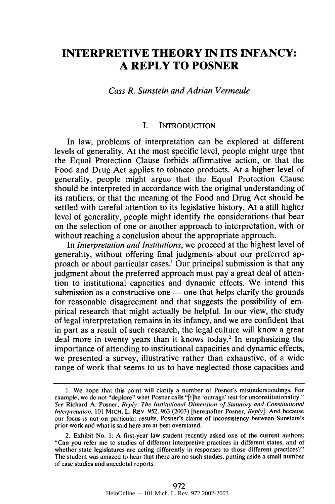## **INTERPRETIVE THEORY IN ITS INFANCY: A REPLY TO POSNER**

*Cass R. Sunstein and Adrian Vermeule*

#### **1.** INTRODUCTION

In law, problems of interpretation can be explored at different levels of generality. At the most specific level, people might urge that the Equal Protection Clause forbids affirmative action, or that the Food and Drug Act applies to tobacco products. At a higher level of generality, people might argue that the Equal Protection Clause should be interpreted in accordance with the original understanding of its ratifiers, or that the meaning of the Food and Drug Act should be settled with careful attention to its legislative history. At a still higher level of generality, people might identify the considerations that bear on the selection of one or another approach to interpretation, with or without reaching a conclusion about the appropriate approach.

In *Interpretation and Institutions,* we proceed at the highest level of generality, without offering final judgments about our preferred approach or about particular cases.' Our principal submission is that any judgment about the preferred approach must pay a great deal of attention to institutional capacities and dynamic effects. We intend this submission as a constructive one — one that helps clarify the grounds for reasonable disagreement and that suggests the possibility of empirical research that might actually be helpful. In our view, the study of legal interpretation remains in its infancy, and we are confident that in part as a result of such research, the legal culture will know a great deal more in twenty years than it knows today.' In emphasizing the importance of attending to institutional capacities and dynamic effects, we presented a survey, illustrative rather than exhaustive, of a wide range of work that seems to us to have neglected those capacities and

<sup>1.</sup> We hope that this point will clarify a number of Posner's misunderstandings. For example, we do not "deplore" what Posner calls "[tjhe 'outrage' test for unconstitutionality." *See* Richard **A.** Posner, Reply: *The* Institutional Dimension *of Statutory and Constitutional Interpretation. 10l* MICH. L. REV. 952, 963 (2003) [hereinafter Posner, *Reply].* And because our focus is not on particular results, Posner's claims of inconsistency between Sunstein's prior work and what is said here are at best overstated.

<sup>2.</sup> Exhibit No. **1:** A first-year law student recently asked one of the current authors: "Can you refer me to studies of different interpretive practices in different states, and of whether state legislatures are acting differently in responses to those different practices?" The student was amazed to hear that there are no such studies, putting aside a small number of case studies and anecdotal reports.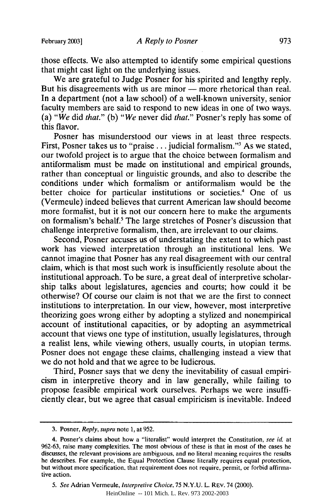those effects. We also attempted to identify some empirical questions that might cast light on the underlying issues.

We are grateful to Judge Posner for his spirited and lengthy reply. But his disagreements with us are minor — more rhetorical than real. In a department (not a law school) of a well-known university, senior faculty members are said to respond to new ideas in one of two ways. (a) *"We* did *that."* (b) *"We* never did *that."* Posner's reply has some of this flavor.

Posner has misunderstood our views in at least three respects. First, Posner takes us to "praise... judicial formalism."3 As we stated, our twofold project is to argue that the choice between formalism and antiformalism must be made on institutional and empirical grounds, rather than conceptual or linguistic grounds, and also to describe the conditions under which formalism or antiformalism would be the better choice for particular institutions or societies.' One of us (Vermeule) indeed believes that current American law should become more formalist, but it is not our concern here to make the arguments on formalism's behalf.<sup>5</sup> The large stretches of Posner's discussion that challenge interpretive formalism, then, are irrelevant to our claims.

Second, Posner accuses us of understating the extent to which past work has viewed interpretation through an institutional lens. We cannot imagine that Posner has any real disagreement with our central claim, which is that most such work is insufficiently resolute about the institutional approach. To be sure, a great deal of interpretive scholarship talks about legislatures, agencies and courts; how could it be otherwise? Of course our claim is not that we are the first to connect institutions to interpretation. In our view, however, most interpretive theorizing goes wrong either by adopting a stylized and nonempirical account of institutional capacities, or by adopting an asymmetrical account that views one type of institution, usually legislatures, through a realist lens, while viewing others, usually courts, in utopian terms. Posner does not engage these claims, challenging instead a view that we do not hold and that we agree to be ludicrous.

Third, Posner says that we deny the inevitability of casual empiricism in interpretive theory and in law generally, while failing to propose feasible empirical work ourselves. Perhaps we were insufficiently clear, but we agree that casual empiricism is inevitable. Indeed

<sup>3.</sup> Posner, *Reply,* supra note 1, at 952.

<sup>4.</sup> Posner's claims about how a "literalist" would interpret the Constitution, see *id.* at 962-63, raise many complexities. The most obvious of these is that in most of the cases he discusses, the relevant provisions are ambiguous, and no literal meaning requires the results he describes. For example, the Equal Protection Clause literally requires equal protection, but without more specification. that requirement does not require, permit, or forbid affirmative action.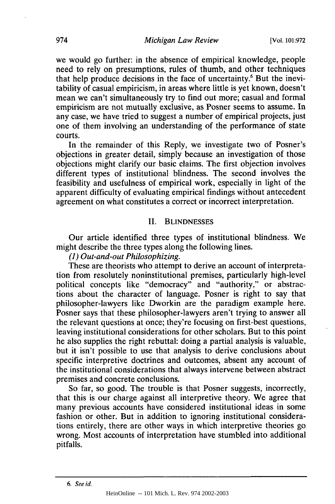we would go further: in the absence of empirical knowledge, people need to rely on presumptions, rules of thumb, and other techniques that help produce decisions in the face of uncertainty.6 But the inevitability of casual empiricism, in areas where little is yet known, doesn't mean we can't simultaneously try to find out more; casual and formal empiricism are not mutually exclusive, as Posner seems to assume. In any case, we have tried to suggest a number of empirical projects, just one of them involving an understanding of the performance of state courts.

In the remainder of this Reply, we investigate two of Posner's objections in greater detail, simply because an investigation of those objections might clarify our basic claims. The first objection involves different types of institutional blindness. The second involves the feasibility and usefulness of empirical work, especially in light of the apparent difficulty of evaluating empirical findings without antecedent agreement on what constitutes a correct or incorrect interpretation.

#### II. BLINDNESSES

Our article identified three types of institutional blindness. We might describe the three types along the following lines.

*(1) Out-and-out Philosophizing.*

These are theorists who attempt to derive an account of interpretation from resolutely noninstitutional premises, particularly high-level political concepts like "democracy" and "authority," or abstractions about the character of language. Posner is right to say that philosopher-lawyers like Dworkin are the paradigm example here. Posner says that these philosopher-lawyers aren't trying to answer all the relevant questions at once; they're focusing on first-best questions, leaving institutional considerations for other scholars. But to this point he also supplies the right rebuttal: doing a partial analysis is valuable, but it isn't possible to use that analysis to derive conclusions about specific interpretive doctrines and outcomes, absent any account of the institutional considerations that always intervene between abstract premises and concrete conclusions.

So far, so good. The trouble is that Posner suggests, incorrectly, that this is our charge against all interpretive theory. We agree that many previous accounts have considered institutional ideas in some fashion or other. But in addition to ignoring institutional considerations entirely, there are other ways in which interpretive theories go wrong. Most accounts of interpretation have stumbled into additional pitfalls.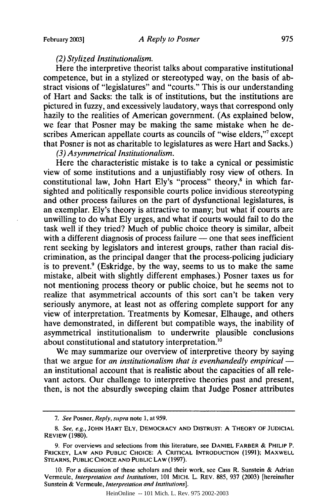#### *(2) Stylized Institutionalism.*

Here the interpretive theorist talks about comparative institutional competence, but in a stylized or stereotyped way, on the basis of abstract visions of "legislatures" and "courts." This is our understanding of Hart and Sacks: the talk is of institutions, but the institutions are pictured in fuzzy, and excessively laudatory, ways that correspond only hazily to the realities of American government. (As explained below, we fear that Posner may be making the same mistake when he describes American appellate courts as councils of "wise elders,"<sup>7</sup> except that Posner is not as charitable to legislatures as were Hart and Sacks.)

*(3) Asymmetrical Institutionalism.*

Here the characteristic mistake is to take a cynical or pessimistic view of some institutions and a unjustifiably rosy view of others. In constitutional law, John Hart Ely's "process" theory, $\delta$  in which farsighted and politically responsible courts police invidious stereotyping and other process failures on the part of dysfunctional legislatures, is an exemplar. Ely's theory is attractive to many; but what if courts are unwilling to do what Ely urges, and what if courts would fail to do the task well if they tried? Much of public choice theory is similar, albeit with a different diagnosis of process failure — one that sees inefficient rent seeking by legislators and interest groups, rather than racial discrimination, as the principal danger that the process-policing judiciary is to prevent. $9$  (Eskridge, by the way, seems to us to make the same mistake, albeit with slightly different emphases.) Posner taxes us for not mentioning process theory or public choice, but he seems not to realize that asymmetrical accounts of this sort can't be taken very seriously anymore, at least not as offering complete support for any view of interpretation. Treatments by Komesar, Elhauge, and others have demonstrated, in different but compatible ways, the inability of asymmetrical institutionalism to underwrite plausible conclusions about constitutional and statutory interpretation.<sup>10</sup>

We may summarize our overview of interpretive theory by saying that we argue for *an institutionalism that is evenhandedly empirical* an institutional account that is realistic about the capacities of all relevant actors. Our challenge to interpretive theories past and present, then, is not the absurdly sweeping claim that Judge Posner attributes

**10.** For a discussion of these scholars and their work, see Cass R. Sunstein **&** Adrian Vermeule, *Interpretation and Institutions,* **101** MICH. L. REV. **885, 937 (2003)** [hereinafter Sunstein **&** Vermeule, *Interpretation and Institutions].*

HeinOnline -- 101 Mich. L. Rev. 975 2002-2003

*<sup>7.</sup> See* Posner, *Reply, supra* note **1,** at **959.**

**<sup>8.</sup>** *See, e.g.,* **JOHN HART ELY,** DEMOCRACY **AND** DISTRUST: **A** THEORY OF **JUDICIAL** REVIEW **(1980).**

**<sup>9.</sup>** For overviews and selections from this literature, see **DANIEL** FARBER **&** PHILIP P. FRICKEY, LAW **AND PUBLIC CHOICE: A** CRITICAL **INTRODUCTION (1991);** MAXWELL **STEARNS, PUBLIC CHOICE AND PUBLIC** LAW **(1997).**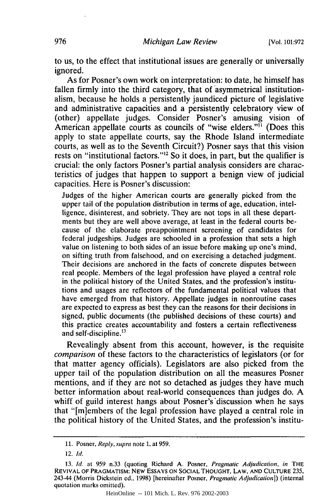to us, to the effect that institutional issues are generally or universally ignored.

As for Posner's own work on interpretation: to date, he himself has fallen firmly into the third category, that of asymmetrical institutionalism, because he holds a persistently jaundiced picture of legislative and administrative capacities and a persistently celebratory view of (other) appellate judges. Consider Posner's amusing vision of American appellate courts as councils of "wise elders."<sup>11</sup> (Does this apply to state appellate courts, say the Rhode Island intermediate courts, as well as to the Seventh Circuit?) Posner says that this vision rests on "institutional factors."<sup>12</sup> So it does, in part, but the qualifier is crucial: the only factors Posner's partial analysis considers are characteristics of judges that happen to support a benign view of judicial capacities. Here is Posner's discussion:

Judges of the higher American courts are generally picked from the upper tail of the population distribution in terms of age, education, intelligence, disinterest, and sobriety. They are not tops in all these departments but they are well above average, at least in the federal courts because of the elaborate preappointment screening of candidates for federal judgeships. Judges are schooled in a profession that sets a high value on listening to both sides of an issue before making up one's mind, on sifting truth from falsehood, and on exercising a detached judgment. Their decisions are anchored in the facts of concrete disputes between real people. Members of the legal profession have played a central role in the political history of the United States, and the profession's institutions and usages are reflectors of the fundamental political values that have emerged from that history. Appellate judges in nonroutine cases are expected to express as best they can the reasons for their decisions in signed, public documents (the published decisions of these courts) and this practice creates accountability and fosters a certain reflectiveness and self-discipline.<sup>13</sup>

Revealingly absent from this account, however, is the requisite *comparison* of these factors to the characteristics of legislators (or for that matter agency officials). Legislators are also picked from the upper tail of the population distribution on all the measures Posner mentions, and if they are not so detached as judges they have much better information about real-world consequences than judges do. **A** whiff of guild interest hangs about Posner's discussion when he says that "[m]embers of the legal profession have played a central role in the political history of the United States, and the profession's institu-

<sup>11.</sup> Posner, *Reply, supra* note **1.** at 959.

<sup>12.</sup> *Id.*

<sup>13.</sup> *Id.* at **959** n.33 (quoting Richard A. Posner, *Pragmatic Adjudication, in* THE REVIVAL OF PRAGMATISM: NEW **ESSAYS ON** SOCIAL **THOUGHT,** LAW, **AND** CULTURE 235. 243-44 (Morris Dickstein ed.. 1998) [hereinafter Posner, *Pragmatic Adjudication])* (internal quotation marks omitted).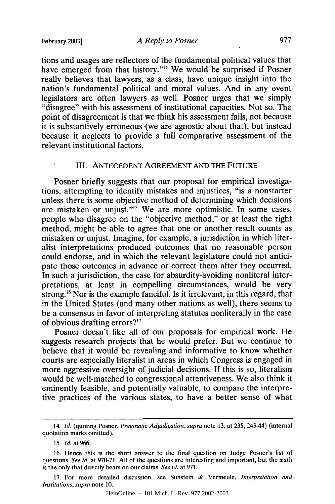tions and usages are reflectors of the fundamental political values that have emerged from that history."<sup>14</sup> We would be surprised if Posner really believes that lawyers, as a class, have unique insight into the nation's fundamental political and moral values. And in any event legislators are often lawyers as well. Posner urges that we simply "disagree" with his assessment of institutional capacities. Not so. The point of disagreement is that we think his assessment fails, not because it is substantively erroneous (we are agnostic about that), but instead because it neglects to provide a full comparative assessment of the relevant institutional factors.

#### III. ANTECEDENT AGREEMENT AND THE FUTURE

Posner briefly suggests that our proposal for empirical investigations, attempting to identify mistakes and injustices, "is a nonstarter unless there is some objective method of determining which decisions are mistaken or unjust."<sup>15</sup> We are more optimistic. In some cases, people who disagree on the "objective method," or at least the right method, might be able to agree that one or another result counts as mistaken or unjust. Imagine, for example, a jurisdiction in which literalist interpretations produced outcomes that no reasonable person could endorse, and in which the relevant legislature could not anticipate those outcomes in advance or correct them after they occurred. In such a jurisdiction, the case for absurdity-avoiding nonliteral interpretations, at least in compelling circumstances, would be very strong.<sup>16</sup> Nor is the example fanciful. Is it irrelevant, in this regard, that in the United States (and many other nations as well), there seems to be a consensus in favor of interpreting statutes nonliterally in the case of obvious drafting errors?<sup>17</sup>

Posner doesn't like all of our proposals for empirical work. He suggests research projects that he would prefer. But we continue to believe that it would be revealing and informative to know whether courts are especially literalist in areas in which Congress is engaged in more aggressive oversight of judicial decisions. If this is so, literalism would be well-matched to congressional attentiveness. We also think it eminently feasible, and potentially valuable, to compare the interpretive practices of the various states, to have a better sense of what

17. For more detailed discussion, see Sunstein & Vermeule, *Interpretation and Institutions, supra* note 10.

HeinOnline -- 101 Mich. L. Rev. 977 2002-2003

<sup>14.</sup> *Id.* (quoting Posner, *Pragmatic Adjudication, supra* note 13, at 235, 243-44) (internal quotation marks omitted).

<sup>15.</sup> **ld.** at 966.

<sup>16.</sup> Hence this is the short answer to the final question on Judge Posner's list of questions. *See id.* at 970-71. All of the questions are interesting and important, but the sixth is the only that directly bears on our claims. *See id.* at 971.